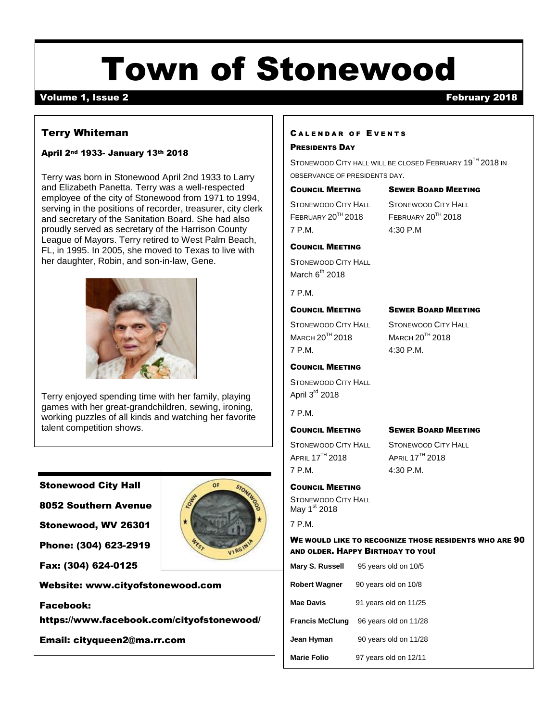# Town of Stonewood

## volume 1, Issue 2 **February 2018**

### Terry Whiteman

#### April 2nd 1933- January 13th 2018

Terry was born in Stonewood April 2nd 1933 to Larry and Elizabeth Panetta. Terry was a well-respected employee of the city of Stonewood from 1971 to 1994, serving in the positions of recorder, treasurer, city clerk and secretary of the Sanitation Board. She had also proudly served as secretary of the Harrison County League of Mayors. Terry retired to West Palm Beach, FL, in 1995. In 2005, she moved to Texas to live with her daughter, Robin, and son-in-law, Gene.



Terry enjoyed spending time with her family, playing games with her great-grandchildren, sewing, ironing, working puzzles of all kinds and watching her favorite talent competition shows.

#### Stonewood City Hall

8052 Southern Avenue

Stonewood, WV 26301

Phone: (304) 623-2919

Fax: (304) 624-0125



 $\alpha$ 

#### Website: [www.cityofstonewood.com](http://www.cityofstonewood.com/)

#### Facebook:

https://www.facebook.com/cityofstonewood/

Email: [cityqueen2@ma.rr.com](mailto:cityqueen2@ma.rr.com)

#### CALENDAR OF EVENTS

#### PRESIDENTS DAY

STONEWOOD CITY HALL WILL BE CLOSED FEBRUARY 19<sup>TH</sup> 2018 IN OBSERVANCE OF PRESIDENTS DAY.

COUNCIL MEETING SEWER BOARD MEETING STONEWOOD CITY HALL STONEWOOD CITY HALL

7 P.M. 4:30 P.M

FEBRUARY 20TH 2018 FEBRUARY 20TH 2018

#### COUNCIL MEETING

STONEWOOD CITY HALL March  $6^{th}$  2018

7 P.M.

#### COUNCIL MEETING SEWER BOARD MEETING

STONEWOOD CITY HALL STONEWOOD CITY HALL MARCH 20TH 2018 MARCH 20TH 2018 7 P.M. 4:30 P.M.

#### COUNCIL MEETING

STONEWOOD CITY HALL April  $3<sup>rd</sup>$  2018

#### 7 P.M.

#### COUNCIL MEETING SEWER BOARD MEETING

 $APRIL$  17<sup>TH</sup> 2018 **APRIL 17<sup>TH</sup>** 2018 7 P.M. 4:30 P.M.

STONEWOOD CITY HALL STONEWOOD CITY HALL

#### COUNCIL MEETING

STONEWOOD CITY HALL May  $1<sup>st</sup>$  2018

7 P.M.

#### WE WOULD LIKE TO RECOGNIZE THOSE RESIDENTS WHO ARE 90 AND OLDER. HAPPY BIRTHDAY TO YOU!

| Mary S. Russell        | 95 years old on 10/5  |
|------------------------|-----------------------|
| <b>Robert Wagner</b>   | 90 years old on 10/8  |
| <b>Mae Davis</b>       | 91 years old on 11/25 |
| <b>Francis McClung</b> | 96 years old on 11/28 |
| Jean Hyman             | 90 years old on 11/28 |
| <b>Marie Folio</b>     | 97 years old on 12/11 |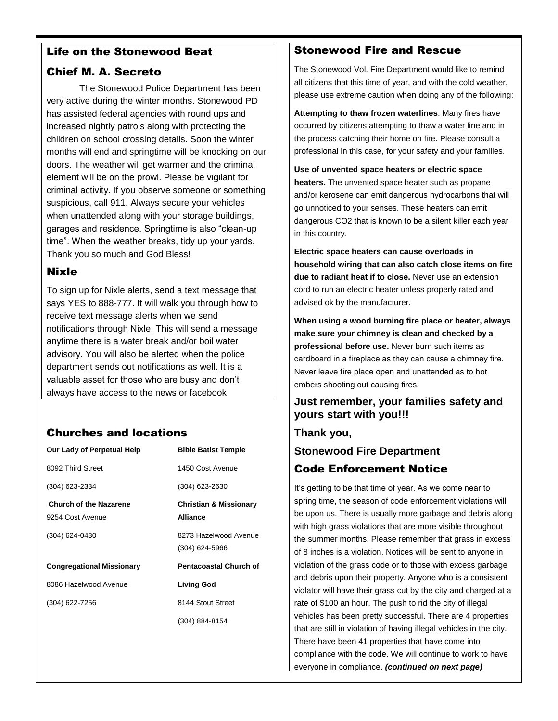# Life on the Stonewood Beat

# Chief M. A. Secreto

The Stonewood Police Department has been very active during the winter months. Stonewood PD has assisted federal agencies with round ups and increased nightly patrols along with protecting the children on school crossing details. Soon the winter months will end and springtime will be knocking on our doors. The weather will get warmer and the criminal element will be on the prowl. Please be vigilant for criminal activity. If you observe someone or something suspicious, call 911. Always secure your vehicles when unattended along with your storage buildings, garages and residence. Springtime is also "clean-up time". When the weather breaks, tidy up your yards. Thank you so much and God Bless!

# Nixle

To sign up for Nixle alerts, send a text message that says YES to 888-777. It will walk you through how to receive text message alerts when we send notifications through Nixle. This will send a message anytime there is a water break and/or boil water advisory. You will also be alerted when the police department sends out notifications as well. It is a valuable asset for those who are busy and don't always have access to the news or facebook

# Churches and locations

| Our Lady of Perpetual Help       | <b>Bible Batist Temple</b>        |
|----------------------------------|-----------------------------------|
| 8092 Third Street                | 1450 Cost Avenue                  |
| (304) 623-2334                   | (304) 623-2630                    |
| <b>Church of the Nazarene</b>    | <b>Christian &amp; Missionary</b> |
| 9254 Cost Avenue                 | <b>Alliance</b>                   |
| (304) 624-0430                   | 8273 Hazelwood Avenue             |
|                                  | $(304)$ 624-5966                  |
| <b>Congregational Missionary</b> | <b>Pentacoastal Church of</b>     |
| 8086 Hazelwood Avenue            | Living God                        |
| (304) 622-7256                   | 8144 Stout Street                 |
|                                  | (304) 884-8154                    |
|                                  |                                   |

# Stonewood Fire and Rescue

The Stonewood Vol. Fire Department would like to remind all citizens that this time of year, and with the cold weather, please use extreme caution when doing any of the following:

**Attempting to thaw frozen waterlines**. Many fires have occurred by citizens attempting to thaw a water line and in the process catching their home on fire. Please consult a professional in this case, for your safety and your families.

**Use of unvented space heaters or electric space heaters.** The unvented space heater such as propane and/or kerosene can emit dangerous hydrocarbons that will go unnoticed to your senses. These heaters can emit dangerous CO2 that is known to be a silent killer each year in this country.

**Electric space heaters can cause overloads in household wiring that can also catch close items on fire due to radiant heat if to close.** Never use an extension cord to run an electric heater unless properly rated and advised ok by the manufacturer.

**When using a wood burning fire place or heater, always make sure your chimney is clean and checked by a professional before use.** Never burn such items as cardboard in a fireplace as they can cause a chimney fire. Never leave fire place open and unattended as to hot embers shooting out causing fires.

# **Just remember, your families safety and yours start with you!!!**

**Thank you,**

**Stonewood Fire Department**

# Code Enforcement Notice

It's getting to be that time of year. As we come near to spring time, the season of code enforcement violations will be upon us. There is usually more garbage and debris along with high grass violations that are more visible throughout the summer months. Please remember that grass in excess of 8 inches is a violation. Notices will be sent to anyone in violation of the grass code or to those with excess garbage and debris upon their property. Anyone who is a consistent violator will have their grass cut by the city and charged at a rate of \$100 an hour. The push to rid the city of illegal vehicles has been pretty successful. There are 4 properties that are still in violation of having illegal vehicles in the city. There have been 41 properties that have come into compliance with the code. We will continue to work to have everyone in compliance. *(continued on next page)*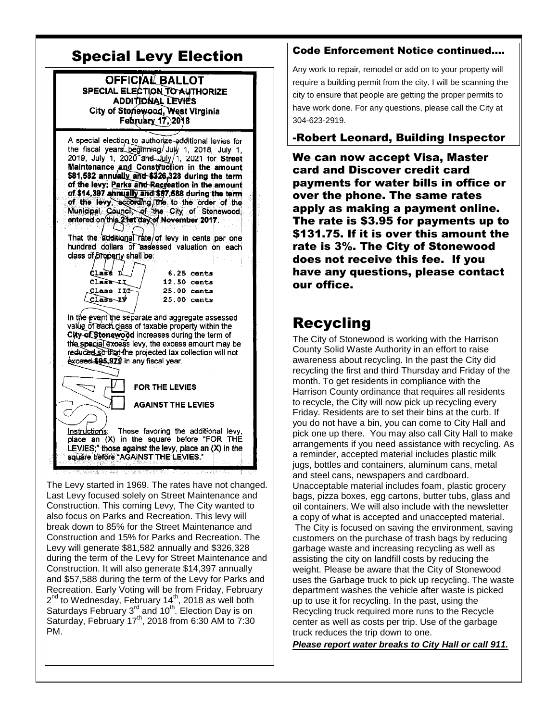# Special Levy Election

OFFICIAL BALLOT SPECIAL ELECTION TO AUTHORIZE ADDITIONAL LEVIES City of Stonewood, West Virginia February 17, 2018

A special election to authorize additional levies for the fiscal years beginning/July 1, 2018, July 1, 2019, July 1, 2020 and July 1, 2021 for Street<br>Maintenance and Construction in the amount \$81,582 annually and \$326,328 during the term of the levy; Parks and Recreation in the amount of \$14,397 annually and \$57,588 during the term of the levy, according the to the order of the Municipal Council, of the City of Stonewood<br>entered orythis 21et day of November 2017.

That the additional rate/of levy in cents per one hundred dollars of assessed valuation on each class of property shall be:

 $\sqrt{2}$  that  $\frac{1}{2}$ Class-11 Class III  $\overline{\text{Class}-\text{IV}}$ 

 $6.25$  cents 12.50 cents  $25.00$  cents 25.00 cents

In the event the separate and aggregate assessed value of each class of taxable property within the City of Stonewood increases during the term of the special excess levy, the excess amount may be reduced so that the projected tax collection will not exceed \$95,979 in any fiscal year.

FOR THE LEVIES **AGAINST THE LEVIES** Those favoring the additional levy, <u> Instructions:</u> place an (X) in the square before "FOR THE LEVIES;" those against the levy, place an (X) in the square before "AGAINST THE LEVIES."

The Levy started in 1969. The rates have not changed. Last Levy focused solely on Street Maintenance and Construction. This coming Levy, The City wanted to also focus on Parks and Recreation. This levy will break down to 85% for the Street Maintenance and Construction and 15% for Parks and Recreation. The Levy will generate \$81,582 annually and \$326,328 during the term of the Levy for Street Maintenance and Construction. It will also generate \$14,397 annually and \$57,588 during the term of the Levy for Parks and Recreation. Early Voting will be from Friday, February 2<sup>nd</sup> to Wednesday, February 14<sup>th</sup>, 2018 as well both Saturdays February 3<sup>rd</sup> and 10<sup>th</sup>. Election Day is on Saturday, February 17<sup>th</sup>, 2018 from 6:30 AM to 7:30 PM.

### Code Enforcement Notice continued….

Any work to repair, remodel or add on to your property will require a building permit from the city. I will be scanning the city to ensure that people are getting the proper permits to have work done. For any questions, please call the City at 304-623-2919.

## -Robert Leonard, Building Inspector

We can now accept Visa, Master card and Discover credit card payments for water bills in office or over the phone. The same rates apply as making a payment online. The rate is \$3.95 for payments up to \$131.75. If it is over this amount the rate is 3%. The City of Stonewood does not receive this fee. If you have any questions, please contact our office.

# Recycling

The City of Stonewood is working with the Harrison County Solid Waste Authority in an effort to raise awareness about recycling. In the past the City did recycling the first and third Thursday and Friday of the month. To get residents in compliance with the Harrison County ordinance that requires all residents to recycle, the City will now pick up recycling every Friday. Residents are to set their bins at the curb. If you do not have a bin, you can come to City Hall and pick one up there. You may also call City Hall to make arrangements if you need assistance with recycling. As a reminder, accepted material includes plastic milk jugs, bottles and containers, aluminum cans, metal and steel cans, newspapers and cardboard. Unacceptable material includes foam, plastic grocery bags, pizza boxes, egg cartons, butter tubs, glass and oil containers. We will also include with the newsletter a copy of what is accepted and unaccepted material.

The City is focused on saving the environment, saving customers on the purchase of trash bags by reducing garbage waste and increasing recycling as well as assisting the city on landfill costs by reducing the weight. Please be aware that the City of Stonewood uses the Garbage truck to pick up recycling. The waste department washes the vehicle after waste is picked up to use it for recycling. In the past, using the Recycling truck required more runs to the Recycle center as well as costs per trip. Use of the garbage truck reduces the trip down to one.

*Please report water breaks to City Hall or call 911.*